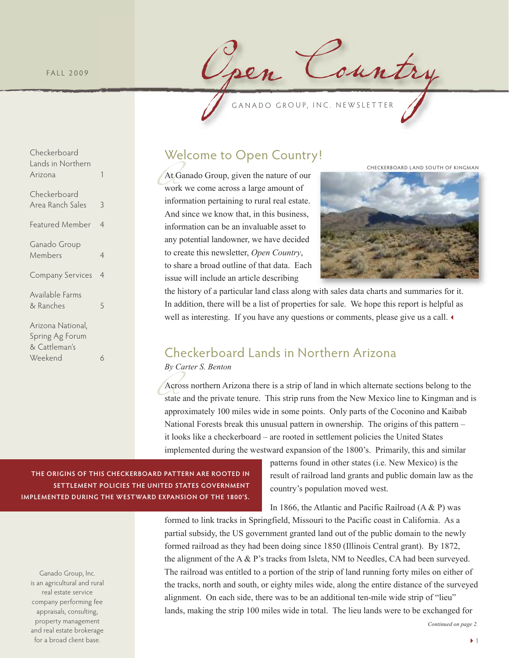FALL 2009

Checkerboard Lands in Northern Arizona 1

Checkerboard

Ganado Group Members 4

Available Farms & Ranches 5

Arizona National, Spring Ag Forum & Cattleman's

Weekend 6

Area Ranch Sales 3

Featured Member 4

Company Services 4

pen Country

### Welcome to Open Country!

At C<br>
wor<br>
info At Ganado Group, given the nature of our work we come across a large amount of information pertaining to rural real estate. And since we know that, in this business, information can be an invaluable asset to any potential landowner, we have decided to create this newsletter, *Open Country*, to share a broad outline of that data. Each issue will include an article describing

checkerboard land south of kingman



the history of a particular land class along with sales data charts and summaries for it. In addition, there will be a list of properties for sale. We hope this report is helpful as well as interesting. If you have any questions or comments, please give us a call.

# Checkerboard Lands in Northern Arizona

*By Carter S. Benton*

By Carter S. Benton<br>Across northern Arizona there is a strip of land in which alternate sections belong to the<br>state and the private tenure. This strip runs from the New Mexico line to Kingman and<br>approximately 100 miles w Across northern Arizona there is a strip of land in which alternate sections belong to the state and the private tenure. This strip runs from the New Mexico line to Kingman and is National Forests break this unusual pattern in ownership. The origins of this pattern – it looks like a checkerboard – are rooted in settlement policies the United States implemented during the westward expansion of the 1800's. Primarily, this and similar

**The origins of This checkerboard paTTern are rooTed in seTTlemenT policies The UniTed sTaTes governmenT implemenTed dUring The wesTward expansion of The 1800's.**

Ganado Group, Inc. is an agricultural and rural real estate service company performing fee appraisals, consulting, property management and real estate brokerage for a broad client base.

patterns found in other states (i.e. New Mexico) is the result of railroad land grants and public domain law as the country's population moved west.

In 1866, the Atlantic and Pacific Railroad  $(A & P)$  was

formed to link tracks in Springfield, Missouri to the Pacific coast in California. As a partial subsidy, the US government granted land out of the public domain to the newly formed railroad as they had been doing since 1850 (Illinois Central grant). By 1872, the alignment of the A  $\&$  P's tracks from Isleta, NM to Needles, CA had been surveyed. The railroad was entitled to a portion of the strip of land running forty miles on either of the tracks, north and south, or eighty miles wide, along the entire distance of the surveyed alignment. On each side, there was to be an additional ten-mile wide strip of "lieu" lands, making the strip 100 miles wide in total. The lieu lands were to be exchanged for

*Continued on page 2.*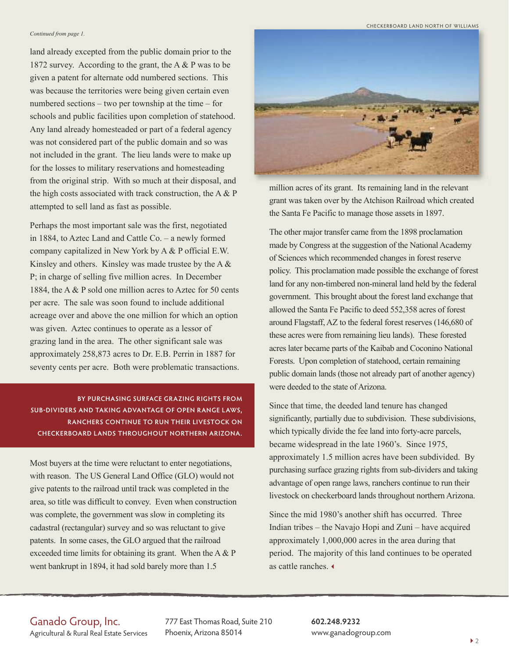#### *Continued from page 1.*

land already excepted from the public domain prior to the 1872 survey. According to the grant, the A & P was to be given a patent for alternate odd numbered sections. This was because the territories were being given certain even numbered sections – two per township at the time – for schools and public facilities upon completion of statehood. Any land already homesteaded or part of a federal agency was not considered part of the public domain and so was not included in the grant. The lieu lands were to make up for the losses to military reservations and homesteading from the original strip. With so much at their disposal, and the high costs associated with track construction, the  $A \& P$ attempted to sell land as fast as possible.

Perhaps the most important sale was the first, negotiated in 1884, to Aztec Land and Cattle Co. – a newly formed company capitalized in New York by A & P official E.W. Kinsley and others. Kinsley was made trustee by the A  $\&$ P; in charge of selling five million acres. In December 1884, the A & P sold one million acres to Aztec for 50 cents per acre. The sale was soon found to include additional acreage over and above the one million for which an option was given. Aztec continues to operate as a lessor of grazing land in the area. The other significant sale was approximately 258,873 acres to Dr. E.B. Perrin in 1887 for seventy cents per acre. Both were problematic transactions.

#### **by pUrchasing sUrface grazing righTs from sUb-dividers and Taking advanTage of open range laws, ranchers conTinUe To rUn Their livesTock on checkerboard lands ThroUghoUT norThern arizona.**

Most buyers at the time were reluctant to enter negotiations, with reason. The US General Land Office (GLO) would not give patents to the railroad until track was completed in the area, so title was difficult to convey. Even when construction was complete, the government was slow in completing its cadastral (rectangular) survey and so was reluctant to give patents. In some cases, the GLO argued that the railroad exceeded time limits for obtaining its grant. When the A & P went bankrupt in 1894, it had sold barely more than 1.5





million acres of its grant. Its remaining land in the relevant grant was taken over by the Atchison Railroad which created the Santa Fe Pacific to manage those assets in 1897.

The other major transfer came from the 1898 proclamation made by Congress at the suggestion of the National Academy of Sciences which recommended changes in forest reserve policy. This proclamation made possible the exchange of forest land for any non-timbered non-mineral land held by the federal government. This brought about the forest land exchange that allowed the Santa Fe Pacific to deed 552,358 acres of forest around Flagstaff, AZ to the federal forest reserves (146,680 of these acres were from remaining lieu lands). These forested acres later became parts of the Kaibab and Coconino National Forests. Upon completion of statehood, certain remaining public domain lands (those not already part of another agency) were deeded to the state of Arizona.

Since that time, the deeded land tenure has changed significantly, partially due to subdivision. These subdivisions, which typically divide the fee land into forty-acre parcels, became widespread in the late 1960's. Since 1975, approximately 1.5 million acres have been subdivided. By purchasing surface grazing rights from sub-dividers and taking advantage of open range laws, ranchers continue to run their livestock on checkerboard lands throughout northern Arizona.

Since the mid 1980's another shift has occurred. Three Indian tribes – the Navajo Hopi and Zuni – have acquired approximately 1,000,000 acres in the area during that period. The majority of this land continues to be operated as cattle ranches.

#### Ganado Group, Inc.

Agricultural & Rural Real Estate Services

777 East Thomas Road, Suite 210 Phoenix, Arizona 85014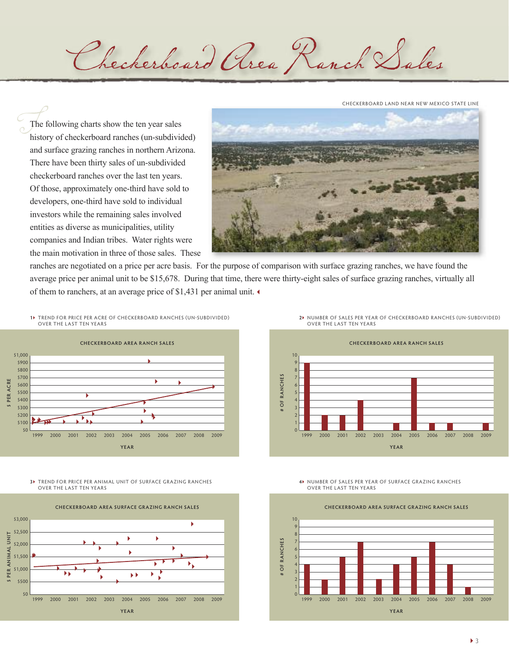Checkerboard Area Ranch Sales

checkerboard land near neW mexico state line

 $\begin{array}{c}\n\begin{array}{c}\n\overline{\phantom{1}} \\
\overline{\phantom{1}} \\
\phantom{1} \\
\phantom{1} \\
\phantom{1} \\
\phantom{1}\n\end{array}\n\end{array}$ The following charts show the ten year sales history of checkerboard ranches (un-subdivided) and surface grazing ranches in northern Arizona. There have been thirty sales of un-subdivided checkerboard ranches over the last ten years. Of those, approximately one-third have sold to developers, one-third have sold to individual investors while the remaining sales involved entities as diverse as municipalities, utility companies and Indian tribes. Water rights were the main motivation in three of those sales. These



ranches are negotiated on a price per acre basis. For the purpose of comparison with surface grazing ranches, we have found the average price per animal unit to be \$15,678. During that time, there were thirty-eight sales of surface grazing ranches, virtually all of them to ranchers, at an average price of \$1,431 per animal unit.

**1** trend for Price Per acre of checkerboard ranches (un-subdivided) over the last ten years



**3** trend for Price Per animal unit of surface grazing ranches over the last ten years



**2** number of sales Per year of checkerboard ranches (un-subdivided) over the last ten years





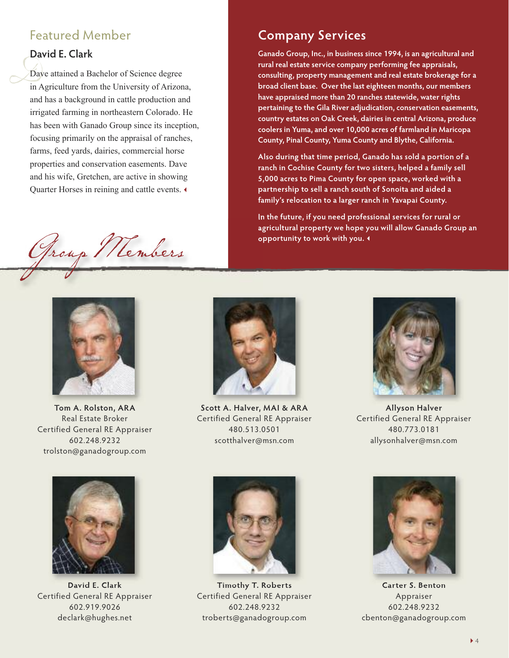### Featured Member

### **david e. clark**

 $\frac{1}{\frac{1}{\ln A}}$ Dave attained a Bachelor of Science degree in Agriculture from the University of Arizona, and has a background in cattle production and irrigated farming in northeastern Colorado. He has been with Ganado Group since its inception, focusing primarily on the appraisal of ranches, farms, feed yards, dairies, commercial horse properties and conservation easements. Dave and his wife, Gretchen, are active in showing Quarter Horses in reining and cattle events.

Group Members



**Tom a. rolston, ara** Real Estate Broker Certified General RE Appraiser 602.248.9232 trolston@ganadogroup.com



**company services**

**opportunity to work with you.**

**ganado group, inc., in business since 1994, is an agricultural and rural real estate service company performing fee appraisals, consulting, property management and real estate brokerage for a broad client base. over the last eighteen months, our members have appraised more than 20 ranches statewide, water rights pertaining to the gila river adjudication, conservation easements, country estates on oak creek, dairies in central arizona, produce coolers in yuma, and over 10,000 acres of farmland in maricopa county, pinal county, yuma county and blythe, california.**

**also during that time period, ganado has sold a portion of a ranch in cochise county for two sisters, helped a family sell 5,000 acres to pima county for open space, worked with a partnership to sell a ranch south of sonoita and aided a family's relocation to a larger ranch in yavapai county.**

**in the future, if you need professional services for rural or agricultural property we hope you will allow ganado group an**

**scott a. halver, mai & ara** Certified General RE Appraiser 480.513.0501 scotthalver@msn.com



**allyson halver** Certified General RE Appraiser 480.773.0181 allysonhalver@msn.com



**david e. clark** Certified General RE Appraiser 602.919.9026 declark@hughes.net



**Timothy T. roberts** Certified General RE Appraiser 602.248.9232 troberts@ganadogroup.com



**carter s. benton Appraiser** 602.248.9232 cbenton@ganadogroup.com

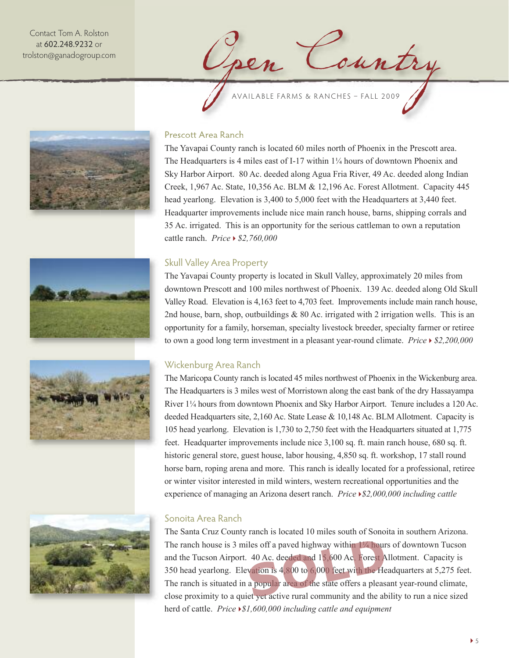Contact Tom A. Rolston at 602.248.9232 or trolston@ganadogroup.com











#### Prescott Area Ranch

The Yavapai County ranch is located 60 miles north of Phoenix in the Prescott area. The Headquarters is 4 miles east of I-17 within 1¼ hours of downtown Phoenix and Sky Harbor Airport. 80 Ac. deeded along Agua Fria River, 49 Ac. deeded along Indian Creek, 1,967 Ac. State, 10,356 Ac. BLM & 12,196 Ac. Forest Allotment. Capacity 445 head yearlong. Elevation is 3,400 to 5,000 feet with the Headquarters at 3,440 feet. Headquarter improvements include nice main ranch house, barns, shipping corrals and 35 Ac. irrigated. This is an opportunity for the serious cattleman to own a reputation cattle ranch. *Price \$2,760,000*

#### Skull Valley Area Property

The Yavapai County property is located in Skull Valley, approximately 20 miles from downtown Prescott and 100 miles northwest of Phoenix. 139 Ac. deeded along Old Skull Valley Road. Elevation is 4,163 feet to 4,703 feet. Improvements include main ranch house, 2nd house, barn, shop, outbuildings  $& 80$  Ac. irrigated with 2 irrigation wells. This is an opportunity for a family, horseman, specialty livestock breeder, specialty farmer or retiree to own a good long term investment in a pleasant year-round climate. *Price \$2,200,000*

#### Wickenburg Area Ranch

The Maricopa County ranch is located 45 miles northwest of Phoenix in the Wickenburg area. The Headquarters is 3 miles west of Morristown along the east bank of the dry Hassayampa River 1¼ hours from downtown Phoenix and Sky Harbor Airport. Tenure includes a 120 Ac. deeded Headquarters site, 2,160 Ac. State Lease & 10,148 Ac. BLM Allotment. Capacity is 105 head yearlong. Elevation is 1,730 to 2,750 feet with the Headquarters situated at 1,775 feet. Headquarter improvements include nice 3,100 sq. ft. main ranch house, 680 sq. ft. historic general store, guest house, labor housing, 4,850 sq. ft. workshop, 17 stall round horse barn, roping arena and more. This ranch is ideally located for a professional, retiree or winter visitor interested in mild winters, western recreational opportunities and the experience of managing an Arizona desert ranch. *Price \$2,000,000 including cattle*

#### Sonoita Area Ranch

The Santa Cruz County ranch is located 10 miles south of Sonoita in southern Arizona. The ranch house is 3 miles off a paved highway within 1<sup>1</sup>/<sub>4</sub> hours of downtown Tucson and the Tucson Airport. 40 Ac. deeded and 15,600 Ac. Forest Allotment. Capacity is 350 head yearlong. Elevation is 4,800 to 6,000 feet with the Headquarters at 5,275 feet. The ranch is situated in a popular area of the state offers a pleasant year-round climate, close proximity to a quiet yet active rural community and the ability to run a nice sized herd of cattle. *Price \$1,600,000 including cattle and equipment*